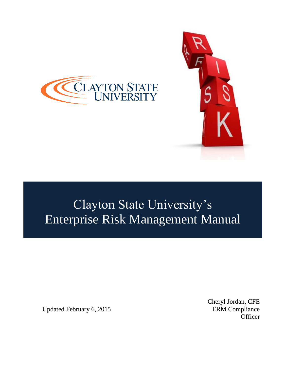



# Clayton State University's Enterprise Risk Management Manual

Updated February 6, 2015 **ERM** Compliance

Cheryl Jordan, CFE **Officer**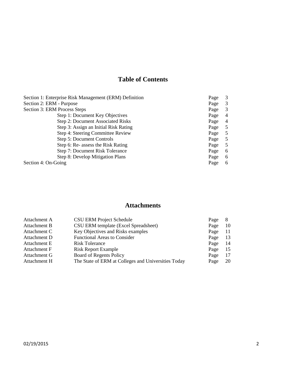# **Table of Contents**

| Section 1: Enterprise Risk Management (ERM) Definition |      | 3              |
|--------------------------------------------------------|------|----------------|
| Section 2: ERM - Purpose                               |      | 3              |
| Section 3: ERM Process Steps                           |      | 3              |
| Step 1: Document Key Objectives                        | Page | $\overline{4}$ |
| Step 2: Document Associated Risks                      | Page | $\overline{4}$ |
| Step 3: Assign an Initial Risk Rating                  | Page | 5              |
| Step 4: Steering Committee Review                      | Page | 5              |
| Step 5: Document Controls                              | Page | 5              |
| Step 6: Re- assess the Risk Rating                     | Page | 5              |
| Step 7: Document Risk Tolerance                        |      | 6              |
| Step 8: Develop Mitigation Plans                       |      | 6              |
| Section 4: On-Going                                    | Page | 6              |

# **Attachments**

| Attachment A | <b>CSU ERM Project Schedule</b>                     | Page |    |
|--------------|-----------------------------------------------------|------|----|
| Attachment B | CSU ERM template (Excel Spreadsheet)                | Page | 10 |
| Attachment C | Key Objectives and Risks examples                   | Page | 11 |
| Attachment D | <b>Functional Areas to Consider</b>                 | Page | 13 |
| Attachment E | Risk Tolerance                                      | Page | 14 |
| Attachment F | <b>Risk Report Example</b>                          | Page | 15 |
| Attachment G | <b>Board of Regents Policy</b>                      | Page | 17 |
| Attachment H | The State of ERM at Colleges and Universities Today | Page | 20 |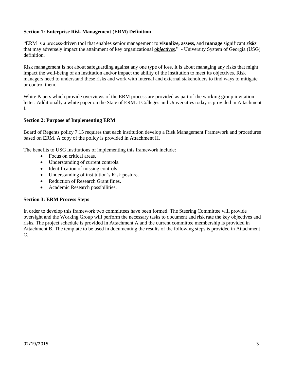#### **Section 1: Enterprise Risk Management (ERM) Definition**

"ERM is a process-driven tool that enables senior management to **visualize, assess,** and **manage** significant *risks* that may adversely impact the attainment of key organizational *objectives*." - University System of Georgia (USG) definition.

Risk management is not about safeguarding against any one type of loss. It is about managing any risks that might impact the well-being of an institution and/or impact the ability of the institution to meet its objectives. Risk managers need to understand these risks and work with internal and external stakeholders to find ways to mitigate or control them.

White Papers which provide overviews of the ERM process are provided as part of the working group invitation letter. Additionally a white paper on the State of ERM at Colleges and Universities today is provided in Attachment I.

#### **Section 2: Purpose of Implementing ERM**

Board of Regents policy 7.15 requires that each institution develop a Risk Management Framework and procedures based on ERM. A copy of the policy is provided in Attachment H.

The benefits to USG Institutions of implementing this framework include:

- Focus on critical areas.
- Understanding of current controls.
- Identification of missing controls.
- Understanding of institution's Risk posture.
- Reduction of Research Grant fines.
- Academic Research possibilities.

#### **Section 3: ERM Process Steps**

In order to develop this framework two committees have been formed. The Steering Committee will provide oversight and the Working Group will perform the necessary tasks to document and risk rate the key objectives and risks. The project schedule is provided in Attachment A and the current committee membership is provided in Attachment B. The template to be used in documenting the results of the following steps is provided in Attachment C.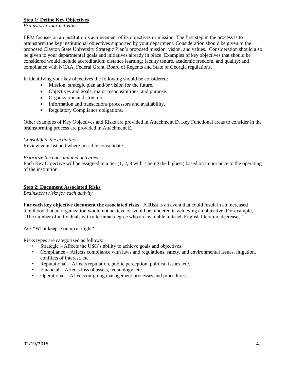#### **Step 1: Define Key Objectives**

*Brainstorm your activities*

ERM focuses on an institution's achievement of its objectives or mission. The first step in the process is to brainstorm the key institutional objectives supported by your department. Consideration should be given to the proposed Clayton State University Strategic Plan's proposed mission, vision, and values. Consideration should also be given to your departmental goals and initiatives already in place. Examples of key objectives that should be considered would include accreditation; distance learning; faculty tenure, academic freedom, and quality; and compliance with NCAA, Federal Grant, Board of Regents and State of Georgia regulations.

In identifying your key objectives the following should be considered:

- Mission, strategic plan and/or vision for the future.
- Objectives and goals, major responsibilities, and purpose.
- Organization and structure.
- Information and transactions processors and availability.
- Regulatory Compliance obligations.

Other examples of Key Objectives and Risks are provided in Attachment D. Key Functional areas to consider in the brainstorming process are provided in Attachment E.

#### *Consolidate the activities*

Review your list and where possible consolidate.

#### *Prioritize the consolidated activities*

Each Key Objective will be assigned to a tier (1, 2, 3 with 1 being the highest) based on importance to the operating of the institution.

#### **Step 2: Document Associated Risks**

*Brainstorm risks for each activity* 

**For each key objective document the associated risks.** A **Risk** is an event that could result in an increased likelihood that an organization would not achieve or would be hindered in achieving an objective. For example, "The number of individuals with a terminal degree who are available to teach English literature decreases."

Ask "What keeps you up at night?"

Risks types are categorized as follows:

- Strategic Affects the USG's ability to achieve goals and objectives.
- Compliance Affects compliance with laws and regulations, safety, and environmental issues, litigation, conflicts of interest, etc.
- Reputational Affects reputation, public perception, political issues, etc.
- Financial Affects loss of assets, technology, etc.
- Operational Affects on-going management processes and procedures.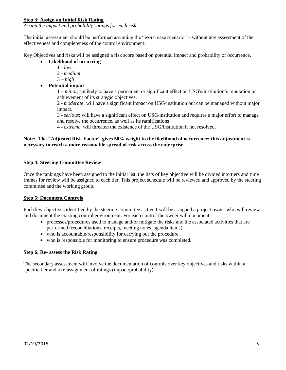#### **Step 3: Assign an Initial Risk Rating**

*Assign the impact and probability ratings for each risk*

The initial assessment should be performed assuming the "worst case scenario" – without any assessment of the effectiveness and completeness of the control environment.

Key Objectives and risks will be assigned a risk score based on potential impact and probability of occurrence.

- **Likelihood of occurring**
	- 1 *low*
	- 2 *medium*
	- 3 *high*
- **Potential impact**

1 – *minor;* unlikely to have a permanent or significant effect on USG's/institution's reputation or achievement of its strategic objectives.

2 - *moderate*; will have a significant impact on USG/institution but can be managed without major impact.

3 - *serious*; will have a significant effect on USG/institution and requires a major effort to manage and resolve the occurrence, as well as its ramifications

4 - *extreme*; will threaten the existence of the USG/institution if not resolved.

#### **Note: The "Adjusted Risk Factor" gives 50% weight to the likelihood of occurrence; this adjustment is necessary to reach a more reasonable spread of risk across the enterprise.**

#### **Step 4: Steering Committee Review**

Once the rankings have been assigned to the initial list, the lists of key objective will be divided into tiers and time frames for review will be assigned to each tier. This project schedule will be reviewed and approved by the steering committee and the working group.

#### **Step 5: Document Controls**

Each key objectives identified by the steering committee as tier 1 will be assigned a project owner who will review and document the existing control environment. For each control the owner will document:

- processes/procedures used to manage and/or mitigate the risks and the associated activities that are performed (reconciliations, receipts, meeting notes, agenda items).
- who is accountable/responsibility for carrying out the procedure.
- who is responsible for monitoring to ensure procedure was completed.

#### **Step 6: Re- assess the Risk Rating**

The secondary assessment will involve the documentation of controls over key objectives and risks within a specific tier and a re-assignment of ratings (impact/probability).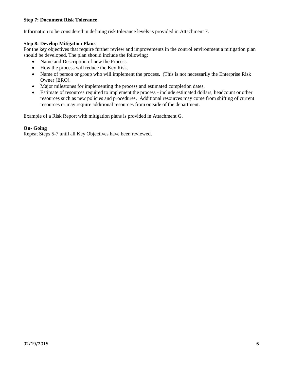#### **Step 7: Document Risk Tolerance**

Information to be considered in defining risk tolerance levels is provided in Attachment F.

#### **Step 8: Develop Mitigation Plans**

For the key objectives that require further review and improvements in the control environment a mitigation plan should be developed. The plan should include the following:

- Name and Description of new the Process.
- How the process will reduce the Key Risk.
- Name of person or group who will implement the process. (This is not necessarily the Enterprise Risk Owner (ERO).
- Major milestones for implementing the process and estimated completion dates.
- Estimate of resources required to implement the process include estimated dollars, headcount or other resources such as new policies and procedures. Additional resources may come from shifting of current resources or may require additional resources from outside of the department.

Example of a Risk Report with mitigation plans is provided in Attachment G.

#### **On- Going**

Repeat Steps 5-7 until all Key Objectives have been reviewed.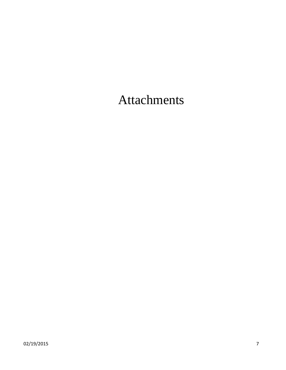Attachments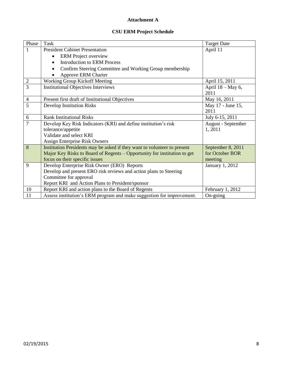### **Attachment A**

## **CSU ERM Project Schedule**

| Phase          | Task                                                                     | <b>Target Date</b> |
|----------------|--------------------------------------------------------------------------|--------------------|
| 1              | <b>President Cabinet Presentation</b>                                    | April 11           |
|                | <b>ERM</b> Project overview                                              |                    |
|                | <b>Introduction to ERM Process</b><br>$\bullet$                          |                    |
|                | Confirm Steering Committee and Working Group membership<br>$\bullet$     |                    |
|                | Approve ERM Charter                                                      |                    |
| $\overline{2}$ | Working Group Kickoff Meeting                                            | April 15, 2011     |
| 3              | <b>Institutional Objectives Interviews</b>                               | April 18 – May 6,  |
|                |                                                                          | 2011               |
| 4              | Present first draft of Institutional Objectives                          | May 16, 2011       |
| 5              | Develop Institution Risks                                                | May 17 - June 15,  |
|                |                                                                          | 2011               |
| 6              | <b>Rank Institutional Risks</b>                                          | July 6-15, 2011    |
| 7              | Develop Key Risk Indicators (KRI) and define institution's risk          | August - September |
|                | tolerance/appetite                                                       | 1, 2011            |
|                | Validate and select KRI                                                  |                    |
|                | Assign Enterprise Risk Owners                                            |                    |
| 8              | Institution Presidents may be asked if they want to volunteer to present | September 8, 2011  |
|                | Major Key Risks to Board of Regents – Opportunity for institution to get | for October BOR    |
|                | focus on their specific issues                                           | meeting            |
| 9              | Develop Enterprise Risk Owner (ERO) Reports                              | January 1, 2012    |
|                | Develop and present ERO risk reviews and action plans to Steering        |                    |
|                | Committee for approval                                                   |                    |
|                | Report KRI and Action Plans to President/sponsor                         |                    |
| 10             | Report KRI and action plans to the Board of Regents                      | February 1, 2012   |
| 11             | Assess institution's ERM program and make suggestion for improvement.    | On-going           |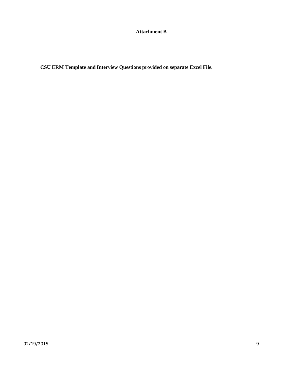**Attachment B**

**CSU ERM Template and Interview Questions provided on separate Excel File.**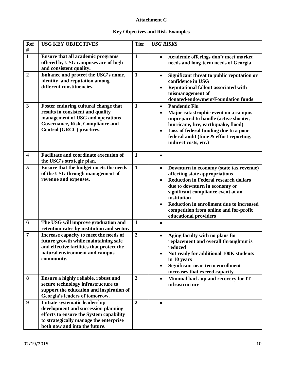## **Attachment C**

## **Key Objectives and Risk Examples**

| <b>Ref</b><br>$\#$      | <b>USG KEY OBJECTIVES</b>                                                                                                                                                                   | <b>Tier</b>    | <b>USG RISKS</b>                                                                                                                                                                                                                                                                                                                            |
|-------------------------|---------------------------------------------------------------------------------------------------------------------------------------------------------------------------------------------|----------------|---------------------------------------------------------------------------------------------------------------------------------------------------------------------------------------------------------------------------------------------------------------------------------------------------------------------------------------------|
| $\mathbf{1}$            | <b>Ensure that all academic programs</b><br>offered by USG campuses are of high<br>and consistent quality.                                                                                  | $\mathbf{1}$   | Academic offerings don't meet market<br>needs and long-term needs of Georgia                                                                                                                                                                                                                                                                |
| $\overline{2}$          | Enhance and protect the USG's name,<br>identity, and reputation among<br>different constituencies.                                                                                          | $\mathbf{1}$   | Significant threat to public reputation or<br>$\bullet$<br>confidence in USG<br>Reputational fallout associated with<br>mismanagement of<br>donated/endowment/Foundation funds                                                                                                                                                              |
| $\overline{\mathbf{3}}$ | Foster enduring cultural change that<br>results in consistent and quality<br>management of USG and operations<br>Governance, Risk, Compliance and<br>Control (GRCC) practices.              | $\mathbf{1}$   | <b>Pandemic Flu</b><br>$\bullet$<br>Major catastrophic event on a campus<br>$\bullet$<br>unprepared to handle (active shooter,<br>hurricane, fire, earthquake, flood)<br>Loss of federal funding due to a poor<br>$\bullet$<br>federal audit (time & effort reporting,<br>indirect costs, etc.)                                             |
| $\overline{\mathbf{4}}$ | <b>Facilitate and coordinate execution of</b><br>the USG's strategic plan.                                                                                                                  | $\mathbf{1}$   |                                                                                                                                                                                                                                                                                                                                             |
| 5                       | Ensure that the budget meets the needs<br>of the USG through management of<br>revenue and expenses.                                                                                         | $\mathbf{1}$   | Downturn in economy (state tax revenue)<br>$\bullet$<br>affecting state appropriations<br><b>Reduction in Federal research dollars</b><br>due to downturn in economy or<br>significant compliance event at an<br>institution<br>Reduction in enrollment due to increased<br>competition from online and for-profit<br>educational providers |
| 6                       | The USG will improve graduation and<br>retention rates by institution and sector.                                                                                                           | $\mathbf{1}$   |                                                                                                                                                                                                                                                                                                                                             |
| $\overline{7}$          | Increase capacity to meet the needs of<br>future growth while maintaining safe<br>and effective facilities that protect the<br>natural environment and campus<br>community.                 | $\overline{2}$ | Aging faculty with no plans for<br>$\bullet$<br>replacement and overall throughput is<br>reduced<br>Not ready for additional 100K students<br>in 10 years<br>Significant near-term enrollment<br>$\bullet$<br>increases that exceed capacity                                                                                                |
| 8                       | Ensure a highly reliable, robust and<br>secure technology infrastructure to<br>support the education and inspiration of<br>Georgia's leaders of tomorrow.                                   | $\overline{2}$ | Minimal back-up and recovery for IT<br>$\bullet$<br>infrastructure                                                                                                                                                                                                                                                                          |
| 9                       | Initiate systematic leadership<br>development and succession planning<br>efforts to ensure the System capability<br>to strategically manage the enterprise<br>both now and into the future. | $\overline{2}$ | $\bullet$                                                                                                                                                                                                                                                                                                                                   |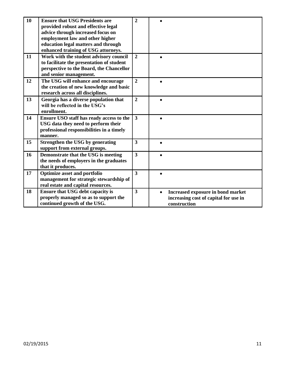| 10 | <b>Ensure that USG Presidents are</b><br>provided robust and effective legal<br>advice through increased focus on<br>employment law and other higher<br>education legal matters and through<br>enhanced training of USG attorneys. | $\overline{2}$          |                                                                                            |
|----|------------------------------------------------------------------------------------------------------------------------------------------------------------------------------------------------------------------------------------|-------------------------|--------------------------------------------------------------------------------------------|
| 11 | Work with the student advisory council<br>to facilitate the presentation of student<br>perspective to the Board, the Chancellor<br>and senior management.                                                                          | $\overline{2}$          |                                                                                            |
| 12 | The USG will enhance and encourage<br>the creation of new knowledge and basic<br>research across all disciplines.                                                                                                                  | $\overline{2}$          |                                                                                            |
| 13 | Georgia has a diverse population that<br>will be reflected in the USG's<br>enrollment.                                                                                                                                             | $\overline{2}$          | $\bullet$                                                                                  |
| 14 | Ensure USO staff has ready access to the<br>USG data they need to perform their<br>professional responsibilities in a timely<br>manner.                                                                                            | $\overline{\mathbf{3}}$ |                                                                                            |
| 15 | Strengthen the USG by generating<br>support from external groups.                                                                                                                                                                  | $\overline{\mathbf{3}}$ |                                                                                            |
| 16 | Demonstrate that the USG is meeting<br>the needs of employers in the graduates<br>that it produces.                                                                                                                                | $\overline{3}$          |                                                                                            |
| 17 | <b>Optimize asset and portfolio</b><br>management for strategic stewardship of<br>real estate and capital resources.                                                                                                               | 3                       |                                                                                            |
| 18 | <b>Ensure that USG debt capacity is</b><br>properly managed so as to support the<br>continued growth of the USG.                                                                                                                   | $\overline{\mathbf{3}}$ | Increased exposure in bond market<br>increasing cost of capital for use in<br>construction |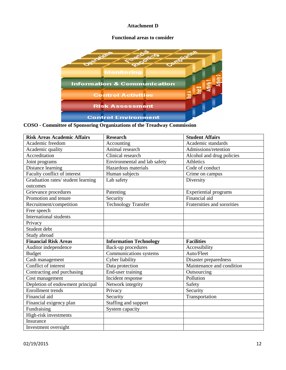#### **Attachment D**

#### **Functional areas to consider**



**COSO - Committee of Sponsoring Organizations of the Treadway Commission**

| <b>Risk Areas Academic Affairs</b> | <b>Research</b>               | <b>Student Affairs</b>       |
|------------------------------------|-------------------------------|------------------------------|
| Academic freedom                   | Accounting                    | Academic standards           |
| Academic quality                   | Animal research               | Admissions/retention         |
| Accreditation                      | Clinical research             | Alcohol and drug policies    |
| Joint programs                     | Environmental and lab safety  | Athletics                    |
| Distance learning                  | Hazardous materials           | Code of conduct              |
| Faculty conflict of interest       | Human subjects                | Crime on campus              |
| Graduation rates/ student learning | Lab safety                    | Diversity                    |
| outcomes                           |                               |                              |
| Grievance procedures               | Patenting                     | <b>Experiential programs</b> |
| Promotion and tenure               | Security                      | Financial aid                |
| Recruitment/competition            | <b>Technology Transfer</b>    | Fraternities and sororities  |
| Free speech                        |                               |                              |
| <b>International students</b>      |                               |                              |
| Privacy                            |                               |                              |
| Student debt                       |                               |                              |
| Study abroad                       |                               |                              |
| <b>Financial Risk Areas</b>        | <b>Information Technology</b> | <b>Facilities</b>            |
| Auditor independence               | Back-up procedures            | Accessibility                |
| <b>Budget</b>                      | Communications systems        | Auto/Fleet                   |
| Cash management                    | Cyber liability               | Disaster preparedness        |
| Conflict of interest               | Data protection               | Maintenance and condition    |
| Contracting and purchasing         | End-user training             | Outsourcing                  |
| Cost management                    | Incident response             | Pollution                    |
| Depletion of endowment principal   | Network integrity             | Safety                       |
| <b>Enrollment</b> trends           | Privacy                       | Security                     |
| Financial aid                      | Security                      | Transportation               |
| Financial exigency plan            | Staffing and support          |                              |
| Fundraising                        | System capacity               |                              |
| High-risk investments              |                               |                              |
| Insurance                          |                               |                              |
| Investment oversight               |                               |                              |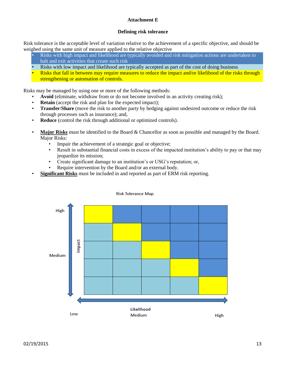#### **Attachment E**

#### **Defining risk tolerance**

Risk tolerance is the acceptable level of variation relative to the achievement of a specific objective, and should be weighed using the same unit of measure applied to the relative objective

- Risks with high impact and likelihood are typically avoided and risk mitigation actions are undertaken to halt and exit activities that create such risk
- Risks with low impact and likelihood are typically accepted as part of the cost of doing business
- Risks that fall in between may require measures to reduce the impact and/or likelihood of the risks through strengthening or automation of controls.

Risks may be managed by using one or more of the following methods:

- **Avoid** (eliminate, withdraw from or do not become involved in an activity creating risk);
- **Retain** (accept the risk and plan for the expected impact);
- **Transfer**/**Share** (move the risk to another party by hedging against undesired outcome or reduce the risk through processes such as insurance); and,
- **Reduce** (control the risk through additional or optimized controls).
- **Major Risks** must be identified to the Board & Chancellor as soon as possible and managed by the Board. Major Risks:
	- Impair the achievement of a strategic goal or objective;
	- Result in substantial financial costs in excess of the impacted institution's ability to pay or that may jeopardize its mission;
	- Create significant damage to an institution's or USG's reputation; or,
	- Require intervention by the Board and/or an external body.
- **Significant Risks** must be included in and reported as part of ERM risk reporting.



#### **Risk Tolerance Map**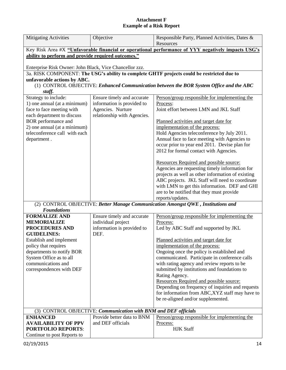#### **Attachment F Example of a Risk Report**

| <b>Mitigating Activities</b>                            | Objective                                                       | Responsible Party, Planned Activities, Dates &                                                     |
|---------------------------------------------------------|-----------------------------------------------------------------|----------------------------------------------------------------------------------------------------|
|                                                         |                                                                 | Resources                                                                                          |
|                                                         |                                                                 | Key Risk Area #X "Unfavorable financial or operational performance of YYY negatively impacts USG's |
| ability to perform and provide required outcomes."      |                                                                 |                                                                                                    |
|                                                         |                                                                 |                                                                                                    |
| Enterprise Risk Owner: John Black, Vice Chancellor zzz. |                                                                 |                                                                                                    |
|                                                         |                                                                 | 3a. RISK COMPONENT: The USG's ability to complete GHTF projects could be restricted due to         |
| unfavorable actions by ABC.                             |                                                                 |                                                                                                    |
|                                                         |                                                                 | (1) CONTROL OBJECTIVE: Enhanced Communication between the BOR System Office and the ABC            |
| staff.                                                  |                                                                 |                                                                                                    |
| Strategy to include:                                    | Ensure timely and accurate                                      | Person/group responsible for implementing the                                                      |
| 1) one annual (at a minimum)                            | information is provided to                                      | Process:<br>Joint effort between LMN and JKL Staff                                                 |
| face to face meeting with<br>each department to discuss | Agencies. Nurture<br>relationship with Agencies.                |                                                                                                    |
| BOR performance and                                     |                                                                 | Planned activities and target date for                                                             |
| 2) one annual (at a minimum)                            |                                                                 | implementation of the process:                                                                     |
| teleconference call with each                           |                                                                 | Hold Agencies teleconference by July 2011.                                                         |
| department.                                             |                                                                 | Annual face to face meeting with Agencies to                                                       |
|                                                         |                                                                 | occur prior to year end 2011. Devise plan for                                                      |
|                                                         |                                                                 | 2012 for formal contact with Agencies.                                                             |
|                                                         |                                                                 |                                                                                                    |
|                                                         |                                                                 | Resources Required and possible source:                                                            |
|                                                         |                                                                 | Agencies are requesting timely information for                                                     |
|                                                         |                                                                 | projects as well as other information of existing                                                  |
|                                                         |                                                                 | ABC projects. JKL Staff will need to coordinate                                                    |
|                                                         |                                                                 | with LMN to get this information. DEF and GHI                                                      |
|                                                         |                                                                 | are to be notified that they must provide                                                          |
|                                                         |                                                                 | reports/updates.                                                                                   |
|                                                         |                                                                 | (2) CONTROL OBJECTIVE: Better Manage Communication Amongst QWE, Institutions and                   |
| <b>Foundations</b>                                      |                                                                 |                                                                                                    |
| <b>FORMALIZE AND</b>                                    | Ensure timely and accurate                                      | Person/group responsible for implementing the                                                      |
| <b>MEMORIALIZE</b><br>PROCEDURES AND                    | individual project<br>information is provided to                | Process:<br>Led by ABC Staff and supported by JKL                                                  |
| <b>GUIDELINES:</b>                                      | DEF.                                                            |                                                                                                    |
| Establish and implement                                 |                                                                 | Planned activities and target date for                                                             |
| policy that requires                                    |                                                                 | implementation of the process:                                                                     |
| departments to notify BOR                               |                                                                 | Ongoing once the policy is established and                                                         |
| System Office as to all                                 |                                                                 | communicated. Participate in conference calls                                                      |
| communications and                                      |                                                                 | with rating agency and review reports to be                                                        |
| correspondences with DEF                                |                                                                 | submitted by institutions and foundations to                                                       |
|                                                         |                                                                 | Rating Agency.                                                                                     |
|                                                         |                                                                 | Resources Required and possible source:                                                            |
|                                                         |                                                                 | Depending on frequency of inquiries and requests                                                   |
|                                                         |                                                                 | for information from ABC, XYZ staff may have to                                                    |
|                                                         |                                                                 | be re-aligned and/or supplemented.                                                                 |
|                                                         |                                                                 |                                                                                                    |
|                                                         | (3) CONTROL OBJECTIVE: Communication with BNM and DEF officials |                                                                                                    |
| <b>ENHANCED</b>                                         | Provide better data to BNM                                      | Person/group responsible for implementing the                                                      |
| <b>AVAILABILITY OF PPV</b>                              | and DEF officials                                               | Process:                                                                                           |
| <b>PORTFOLIO REPORTS:</b>                               |                                                                 | <b>HJK Staff</b>                                                                                   |
| Continue to post Reports to                             |                                                                 |                                                                                                    |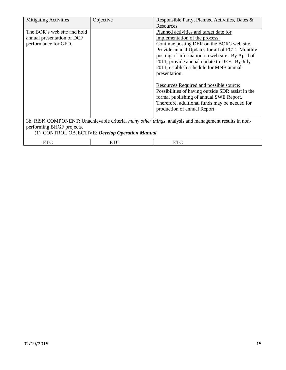| <b>Mitigating Activities</b>                                                      | Objective | Responsible Party, Planned Activities, Dates &                                                                                                                                                                                                                                                                                                                                                                                                                                                                                      |
|-----------------------------------------------------------------------------------|-----------|-------------------------------------------------------------------------------------------------------------------------------------------------------------------------------------------------------------------------------------------------------------------------------------------------------------------------------------------------------------------------------------------------------------------------------------------------------------------------------------------------------------------------------------|
|                                                                                   |           | Resources                                                                                                                                                                                                                                                                                                                                                                                                                                                                                                                           |
| The BOR's web site and hold<br>annual presentation of DCF<br>performance for GFD. |           | Planned activities and target date for<br>implementation of the process:<br>Continue posting DER on the BOR's web site.<br>Provide annual Updates for all of FGT. Monthly<br>posting of information on web site. By April of<br>2011, provide annual update to DEF. By July<br>2011, establish schedule for MNB annual<br>presentation.<br>Resources Required and possible source:<br>Possibilities of having outside SDR assist in the<br>formal publishing of annual SWE Report.<br>Therefore, additional funds may be needed for |
|                                                                                   |           | production of annual Report.                                                                                                                                                                                                                                                                                                                                                                                                                                                                                                        |
|                                                                                   |           | 3b. RISK COMPONENT: Unachievable criteria, many other things, analysis and management results in non-                                                                                                                                                                                                                                                                                                                                                                                                                               |
|                                                                                   |           |                                                                                                                                                                                                                                                                                                                                                                                                                                                                                                                                     |

performing BHGF projects. (1) CONTROL OBJECTIVE: *Develop Operation Manual*

|--|--|--|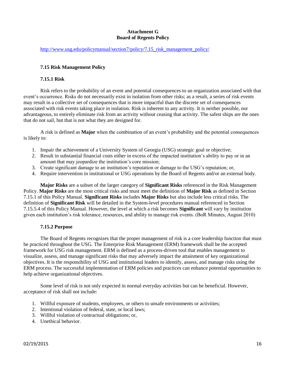#### **Attachment G Board of Regents Policy**

[http://www.usg.edu/policymanual/section7/policy/7.15\\_risk\\_management\\_policy/](http://www.usg.edu/policymanual/section7/policy/7.15_risk_management_policy/)

#### **7.15 Risk Management Policy**

#### **7.15.1 Risk**

Risk refers to the probability of an event and potential consequences to an organization associated with that event's occurrence. Risks do not necessarily exist in isolation from other risks; as a result, a series of risk events may result in a collective set of consequences that is more impactful than the discrete set of consequences associated with risk events taking place in isolation. Risk is inherent to any activity. It is neither possible, nor advantageous, to entirely eliminate risk from an activity without ceasing that activity. The safest ships are the ones that do not sail, but that is not what they are designed for.

A risk is defined as **Major** when the combination of an event's probability and the potential consequences is likely to:

- 1. Impair the achievement of a University System of Georgia (USG) strategic goal or objective;
- 2. Result in substantial financial costs either in excess of the impacted institution's ability to pay or in an amount that may jeopardize the institution's core mission;
- 3. Create significant damage to an institution's reputation or damage to the USG's reputation; or,
- 4. Require intervention in institutional or USG operations by the Board of Regents and/or an external body.

**Major Risks** are a subset of the larger category of **Significant Risks** referenced in the Risk Management Policy. **Major Risks** are the most critical risks and must meet the definition of **Major Risk** as defined in Section 7.15.1 of this Policy Manual. **Significant Risks** includes **Major Risks** but also include less critical risks. The definition of **Significant Risk** will be detailed in the System-level procedures manual referenced in Section 7.15.5.4 of this Policy Manual. However, the level at which a risk becomes **Significant** will vary by institution given each institution's risk tolerance, resources, and ability to manage risk events. (BoR Minutes, August 2010)

#### **7.15.2 Purpose**

The Board of Regents recognizes that the proper management of risk is a core leadership function that must be practiced throughout the USG. The Enterprise Risk Management (ERM) framework shall be the accepted framework for USG risk management. ERM is defined as a process-driven tool that enables management to visualize, assess, and manage significant risks that may adversely impact the attainment of key organizational objectives. It is the responsibility of USG and institutional leaders to identify, assess, and manage risks using the ERM process. The successful implementation of ERM policies and practices can enhance potential opportunities to help achieve organizational objectives.

Some level of risk is not only expected in normal everyday activities but can be beneficial. However, acceptance of risk shall not include:

- 1. Willful exposure of students, employees, or others to unsafe environments or activities;
- 2. Intentional violation of federal, state, or local laws;
- 3. Willful violation of contractual obligations; or,
- 4. Unethical behavior.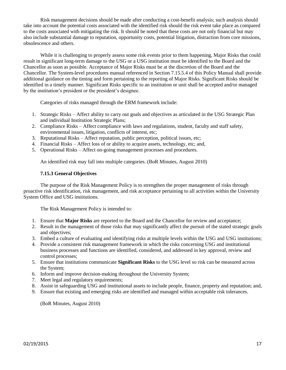Risk management decisions should be made after conducting a cost-benefit analysis; such analysis should take into account the potential costs associated with the identified risk should the risk event take place as compared to the costs associated with mitigating the risk. It should be noted that these costs are not only financial but may also include substantial damage to reputation, opportunity costs, potential litigation, distraction from core missions, obsolescence and others.

While it is challenging to properly assess some risk events prior to them happening, Major Risks that could result in significant long-term damage to the USG or a USG institution must be identified to the Board and the Chancellor as soon as possible. Acceptance of Major Risks must be at the discretion of the Board and the Chancellor. The System-level procedures manual referenced in Section 7.15.5.4 of this Policy Manual shall provide additional guidance on the timing and form pertaining to the reporting of Major Risks. Significant Risks should be identified in a timely manner. Significant Risks specific to an institution or unit shall be accepted and/or managed by the institution's president or the president's designee.

Categories of risks managed through the ERM framework include:

- 1. Strategic Risks Affect ability to carry out goals and objectives as articulated in the USG Strategic Plan and individual Institution Strategic Plans;
- 2. Compliance Risks Affect compliance with laws and regulations, student, faculty and staff safety, environmental issues, litigation, conflicts of interest, etc;
- 3. Reputational Risks Affect reputation, public perception, political issues, etc;
- 4. Financial Risks Affect loss of or ability to acquire assets, technology, etc; and,
- 5. Operational Risks Affect on-going management processes and procedures.

An identified risk may fall into multiple categories. (BoR Minutes, August 2010)

#### **7.15.3 General Objectives**

The purpose of the Risk Management Policy is to strengthen the proper management of risks through proactive risk identification, risk management, and risk acceptance pertaining to all activities within the University System Office and USG institutions.

The Risk Management Policy is intended to:

- 1. Ensure that **Major Risks** are reported to the Board and the Chancellor for review and acceptance;
- 2. Result in the management of those risks that may significantly affect the pursuit of the stated strategic goals and objectives;
- 3. Embed a culture of evaluating and identifying risks at multiple levels within the USG and USG institutions;
- 4. Provide a consistent risk management framework in which the risks concerning USG and institutional business processes and functions are identified, considered, and addressed in key approval, review and control processes;
- 5. Ensure that institutions communicate **Significant Risks** to the USG level so risk can be measured across the System;
- 6. Inform and improve decision-making throughout the University System;
- 7. Meet legal and regulatory requirements;
- 8. Assist in safeguarding USG and institutional assets to include people, finance, property and reputation; and,
- 9. Ensure that existing and emerging risks are identified and managed within acceptable risk tolerances.

(BoR Minutes, August 2010)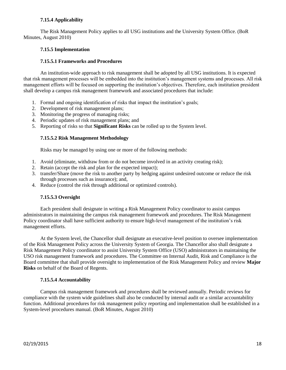#### **7.15.4 Applicability**

The Risk Management Policy applies to all USG institutions and the University System Office. (BoR Minutes, August 2010)

#### **7.15.5 Implementation**

#### **7.15.5.1 Frameworks and Procedures**

An institution-wide approach to risk management shall be adopted by all USG institutions. It is expected that risk management processes will be embedded into the institution's management systems and processes. All risk management efforts will be focused on supporting the institution's objectives. Therefore, each institution president shall develop a campus risk management framework and associated procedures that include:

- 1. Formal and ongoing identification of risks that impact the institution's goals;
- 2. Development of risk management plans;
- 3. Monitoring the progress of managing risks;
- 4. Periodic updates of risk management plans; and
- 5. Reporting of risks so that **Significant Risks** can be rolled up to the System level.

#### **7.15.5.2 Risk Management Methodology**

Risks may be managed by using one or more of the following methods:

- 1. Avoid (eliminate, withdraw from or do not become involved in an activity creating risk);
- 2. Retain (accept the risk and plan for the expected impact);
- 3. transfer/Share (move the risk to another party by hedging against undesired outcome or reduce the risk through processes such as insurance); and,
- 4. Reduce (control the risk through additional or optimized controls).

#### **7.15.5.3 Oversight**

Each president shall designate in writing a Risk Management Policy coordinator to assist campus administrators in maintaining the campus risk management framework and procedures. The Risk Management Policy coordinator shall have sufficient authority to ensure high-level management of the institution's risk management efforts.

At the System level, the Chancellor shall designate an executive-level position to oversee implementation of the Risk Management Policy across the University System of Georgia. The Chancellor also shall designate a Risk Management Policy coordinator to assist University System Office (USO) administrators in maintaining the USO risk management framework and procedures. The Committee on Internal Audit, Risk and Compliance is the Board committee that shall provide oversight to implementation of the Risk Management Policy and review **Major Risks** on behalf of the Board of Regents.

#### **7.15.5.4 Accountability**

Campus risk management framework and procedures shall be reviewed annually. Periodic reviews for compliance with the system wide guidelines shall also be conducted by internal audit or a similar accountability function. Additional procedures for risk management policy reporting and implementation shall be established in a System-level procedures manual. (BoR Minutes, August 2010)